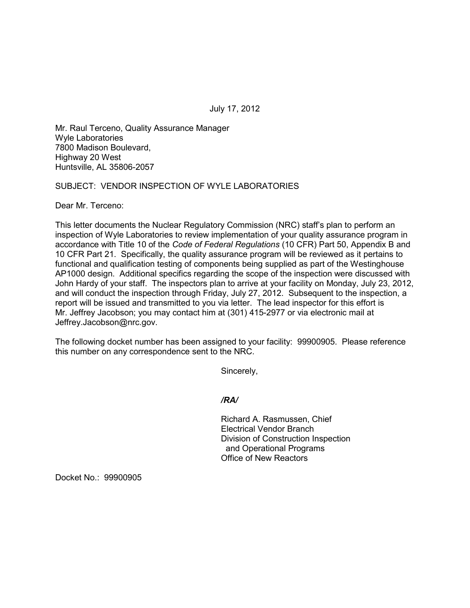July 17, 2012

Mr. Raul Terceno, Quality Assurance Manager Wyle Laboratories 7800 Madison Boulevard, Highway 20 West Huntsville, AL 35806-2057

SUBJECT: VENDOR INSPECTION OF WYLE LABORATORIES

Dear Mr. Terceno:

This letter documents the Nuclear Regulatory Commission (NRC) staff's plan to perform an inspection of Wyle Laboratories to review implementation of your quality assurance program in accordance with Title 10 of the *Code of Federal Regulations* (10 CFR) Part 50, Appendix B and 10 CFR Part 21. Specifically, the quality assurance program will be reviewed as it pertains to functional and qualification testing of components being supplied as part of the Westinghouse AP1000 design. Additional specifics regarding the scope of the inspection were discussed with John Hardy of your staff. The inspectors plan to arrive at your facility on Monday, July 23, 2012, and will conduct the inspection through Friday, July 27, 2012. Subsequent to the inspection, a report will be issued and transmitted to you via letter. The lead inspector for this effort is Mr. Jeffrey Jacobson; you may contact him at (301) 415-2977 or via electronic mail at Jeffrey.Jacobson@nrc.gov.

The following docket number has been assigned to your facility: 99900905. Please reference this number on any correspondence sent to the NRC.

Sincerely,

*/RA/* 

Richard A. Rasmussen, Chief Electrical Vendor Branch Division of Construction Inspection and Operational Programs Office of New Reactors

Docket No.: 99900905